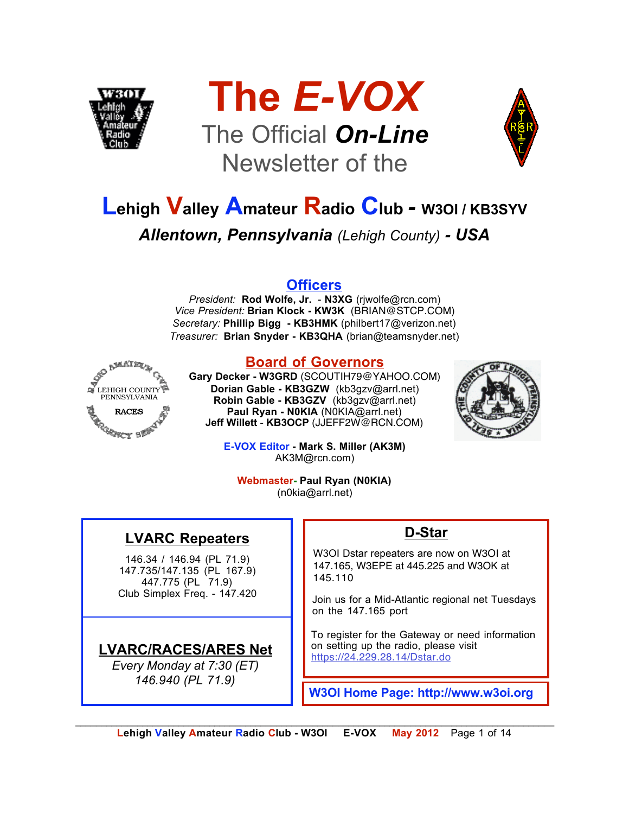





# **Lehigh Valley Amateur Radio Club** *-* **W3OI / KB3SYV** *Allentown, Pennsylvania (Lehigh County) - USA*

#### **Officers**

*President:* **Rod Wolfe, Jr.** - **N3XG** (rjwolfe@rcn.com) *Vice President:* **Brian Klock - KW3K** (BRIAN@STCP.COM) *Secretary:* **Phillip Bigg - KB3HMK** (philbert17@verizon.net) *Treasurer:* **Brian Snyder - KB3QHA** (brian@teamsnyder.net)



#### **Board of Governors**

**Gary Decker - W3GRD** (SCOUTIH79@YAHOO.COM) **Dorian Gable - KB3GZW** (kb3gzv@arrl.net) **Robin Gable - KB3GZV** (kb3gzv@arrl.net) **Paul Ryan - N0KIA** (N0KIA@arrl.net) **Jeff Willett** - **KB3OCP** (JJEFF2W@RCN.COM)



**E-VOX Editor - Mark S. Miller (AK3M)** AK3M@rcn.com)

**Webmaster- Paul Ryan (N0KIA)** (n0kia@arrl.net)

### **LVARC Repeaters**

146.34 / 146.94 (PL 71.9) 147.735/147.135 (PL 167.9) 447.775 (PL 71.9) Club Simplex Freq. - 147.420

#### **LVARC/RACES/ARES Net**

*Every Monday at 7:30 (ET) 146.940 (PL 71.9)*

#### **D-Star**

W3OI Dstar repeaters are now on W3OI at 147.165, W3EPE at 445.225 and W3OK at 145.110

Join us for a Mid-Atlantic regional net Tuesdays on the 147.165 port

To register for the Gateway or need information on setting up the radio, please visit https://24.229.28.14/Dstar.do

**W3OI Home Page: http://www.w3oi.org**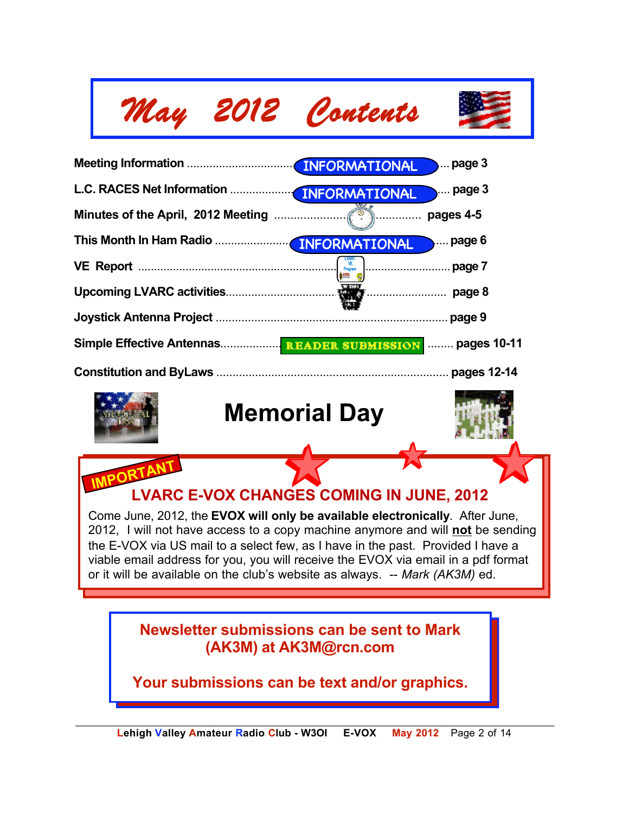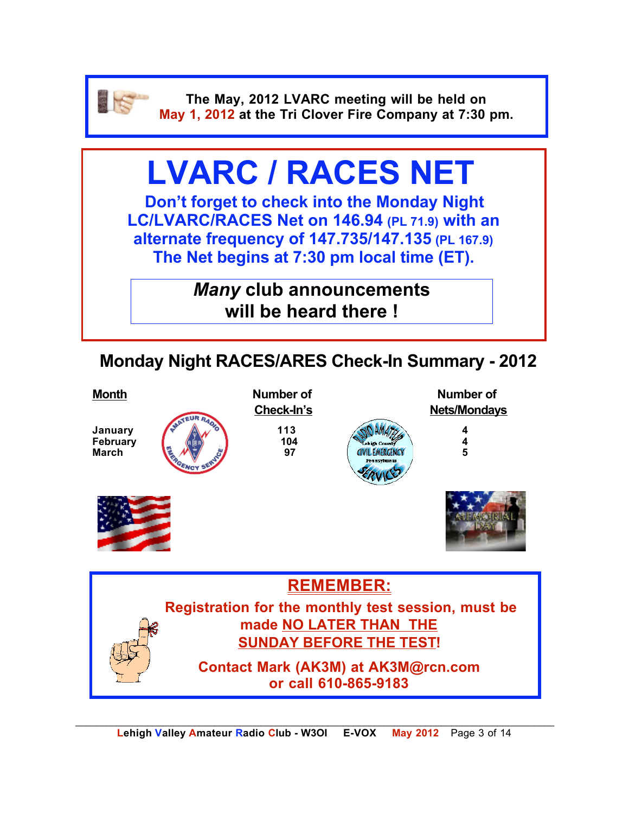

**The May, 2012 LVARC meeting will be held on May 1, 2012 at the Tri Clover Fire Company at 7:30 pm.**

# **LVARC / RACES NET**

**Don't forget to check into the Monday Night LC/LVARC/RACES Net on 146.94 (PL 71.9) with an alternate frequency of 147.735/147.135 (PL 167.9) The Net begins at 7:30 pm local time (ET).** 

> *Many* **club announcements will be heard there !**

## **Monday Night RACES/ARES Check-In Summary - 2012**

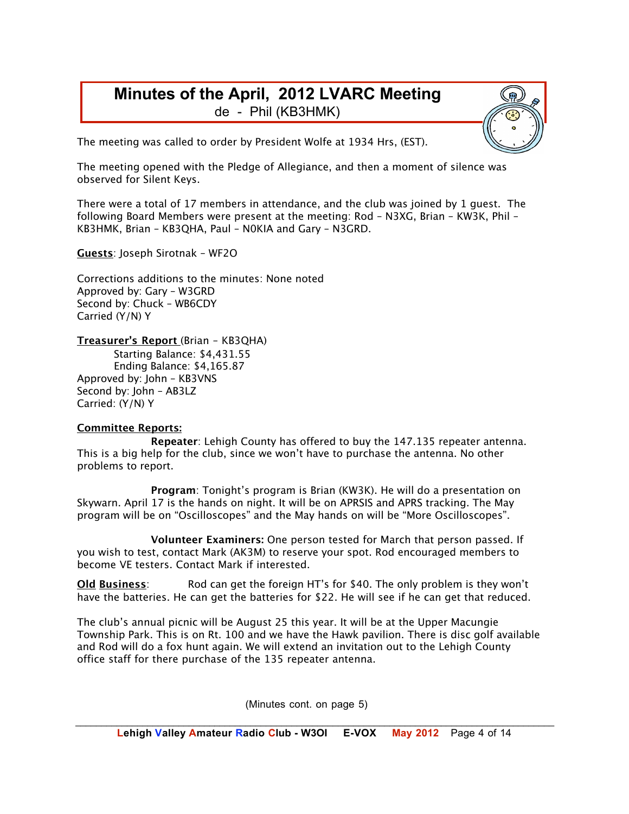#### **Minutes of the April, 2012 LVARC Meeting** de - Phil (KB3HMK)

The meeting was called to order by President Wolfe at 1934 Hrs, (EST).

The meeting opened with the Pledge of Allegiance, and then a moment of silence was observed for Silent Keys.

There were a total of 17 members in attendance, and the club was joined by 1 guest. The following Board Members were present at the meeting: Rod – N3XG, Brian – KW3K, Phil – KB3HMK, Brian – KB3QHA, Paul – N0KIA and Gary – N3GRD.

**Guests**: Joseph Sirotnak – WF2O

Corrections additions to the minutes: None noted Approved by: Gary – W3GRD Second by: Chuck – WB6CDY Carried (Y/N) Y

**Treasurer's Report** (Brian – KB3QHA)

Starting Balance: \$4,431.55 Ending Balance: \$4,165.87 Approved by: John – KB3VNS Second by: John – AB3LZ Carried: (Y/N) Y

#### **Committee Reports:**

**Repeater**: Lehigh County has offered to buy the 147.135 repeater antenna. This is a big help for the club, since we won't have to purchase the antenna. No other problems to report.

**Program**: Tonight's program is Brian (KW3K). He will do a presentation on Skywarn. April 17 is the hands on night. It will be on APRSIS and APRS tracking. The May program will be on "Oscilloscopes" and the May hands on will be "More Oscilloscopes".

**Volunteer Examiners:** One person tested for March that person passed. If you wish to test, contact Mark (AK3M) to reserve your spot. Rod encouraged members to become VE testers. Contact Mark if interested.

**Old Business**: Rod can get the foreign HT's for \$40. The only problem is they won't have the batteries. He can get the batteries for \$22. He will see if he can get that reduced.

The club's annual picnic will be August 25 this year. It will be at the Upper Macungie Township Park. This is on Rt. 100 and we have the Hawk pavilion. There is disc golf available and Rod will do a fox hunt again. We will extend an invitation out to the Lehigh County office staff for there purchase of the 135 repeater antenna.

(Minutes cont. on page 5)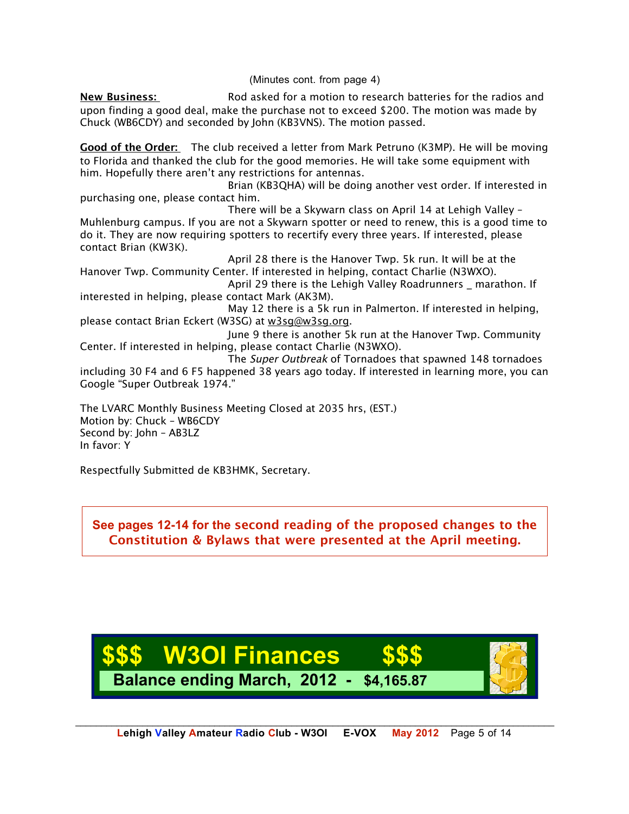(Minutes cont. from page 4)

**New Business:** Rod asked for a motion to research batteries for the radios and upon finding a good deal, make the purchase not to exceed \$200. The motion was made by Chuck (WB6CDY) and seconded by John (KB3VNS). The motion passed.

**Good of the Order:** The club received a letter from Mark Petruno (K3MP). He will be moving to Florida and thanked the club for the good memories. He will take some equipment with him. Hopefully there aren't any restrictions for antennas.

Brian (KB3QHA) will be doing another vest order. If interested in purchasing one, please contact him.

There will be a Skywarn class on April 14 at Lehigh Valley – Muhlenburg campus. If you are not a Skywarn spotter or need to renew, this is a good time to do it. They are now requiring spotters to recertify every three years. If interested, please contact Brian (KW3K).

April 28 there is the Hanover Twp. 5k run. It will be at the Hanover Twp. Community Center. If interested in helping, contact Charlie (N3WXO).

April 29 there is the Lehigh Valley Roadrunners marathon. If interested in helping, please contact Mark (AK3M).

May 12 there is a 5k run in Palmerton. If interested in helping, please contact Brian Eckert (W3SG) at w3sg@w3sg.org.

June 9 there is another 5k run at the Hanover Twp. Community Center. If interested in helping, please contact Charlie (N3WXO).

The Super Outbreak of Tornadoes that spawned 148 tornadoes including 30 F4 and 6 F5 happened 38 years ago today. If interested in learning more, you can Google "Super Outbreak 1974."

The LVARC Monthly Business Meeting Closed at 2035 hrs, (EST.) Motion by: Chuck – WB6CDY Second by: John – AB3LZ In favor: Y

Respectfully Submitted de KB3HMK, Secretary.

**See pages 12-14 for the second reading of the proposed changes to the Constitution & Bylaws that were presented at the April meeting.**

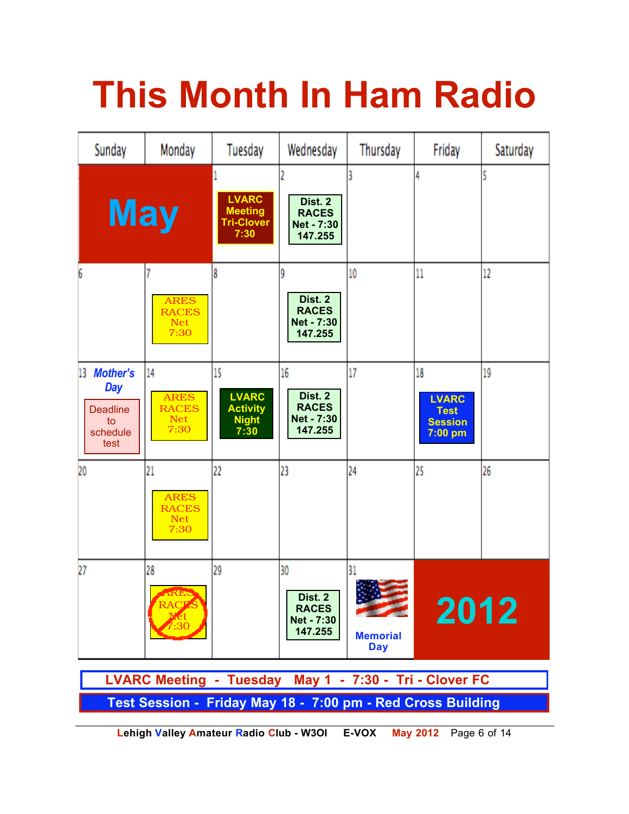# **This Month In Ham Radio**



**Lehigh Valley Amateur Radio Club - W3OI E-VOX May 2012** Page 6 of 14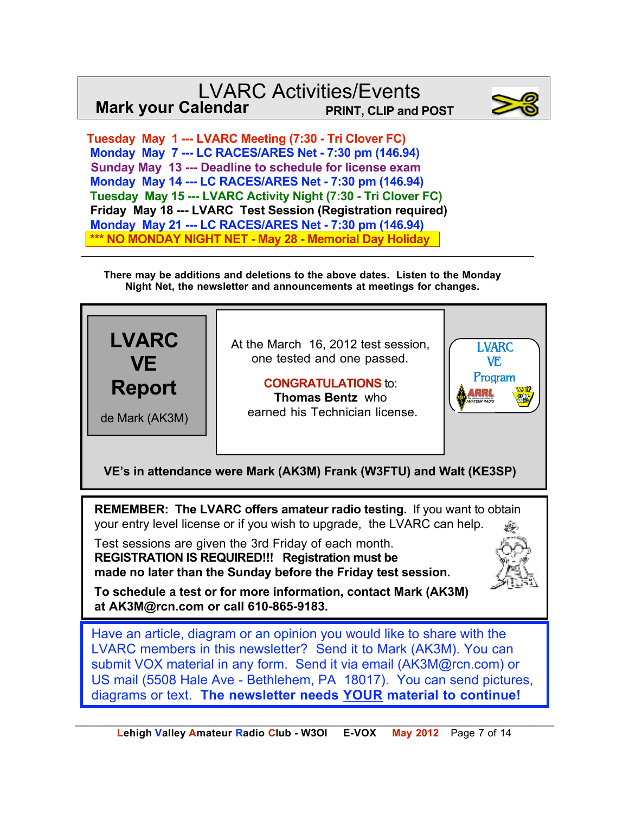### LVARC Activities/Events<br>Ilendar PRINT, CLIP and POST **Mark your Calendar**



 **Tuesday May 1 --- LVARC Meeting (7:30 - Tri Clover FC) Monday May 7 --- LC RACES/ARES Net - 7:30 pm (146.94) Sunday May 13 --- Deadline to schedule for license exam Monday May 14 --- LC RACES/ARES Net - 7:30 pm (146.94) Tuesday May 15 --- LVARC Activity Night (7:30 - Tri Clover FC) Friday May 18 --- LVARC Test Session (Registration required) Monday May 21 --- LC RACES/ARES Net - 7:30 pm (146.94) \*\*\* NO MONDAY NIGHT NET - May 28 - Memorial Day Holiday**

**There may be additions and deletions to the above dates. Listen to the Monday Night Net, the newsletter and announcements at meetings for changes.**



diagrams or text. **The newsletter needs YOUR material to continue!**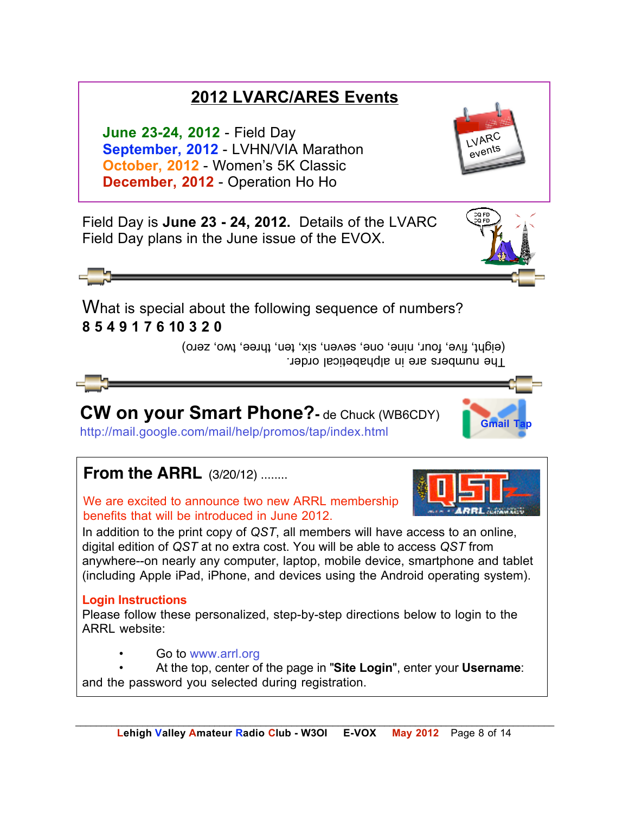## **2012 LVARC/ARES Events**

**June 23-24, 2012** - Field Day **September, 2012** - LVHN/VIA Marathon **October, 2012** - Women's 5K Classic **December, 2012** - Operation Ho Ho

LVARC events

Field Day is **June 23 - 24, 2012.** Details of the LVARC Field Day plans in the June issue of the EVOX.

What is special about the following sequence of numbers? **8 5 4 9 1 7 6 10 3 2 0**

> I he numbers are in alphabetical order. (eight, five, four, nine, one, seven, six, ten, three, two, zero)

# **CW on your Smart Phone?-** de Chuck (WB6CDY)

http://mail.google.com/mail/help/promos/tap/index.html **Gmail Tap**

## **From the ARRL** (3/20/12) ........

We are excited to announce two new ARRL membership benefits that will be introduced in June 2012.

In addition to the print copy of *QST*, all members will have access to an online, digital edition of *QST* at no extra cost. You will be able to access *QST* from anywhere--on nearly any computer, laptop, mobile device, smartphone and tablet (including Apple iPad, iPhone, and devices using the Android operating system).

#### **Login Instructions**

Please follow these personalized, step-by-step directions below to login to the ARRL website:

• Go to www.arrl.org

• At the top, center of the page in "**Site Login**", enter your **Username**: and the password you selected during registration.



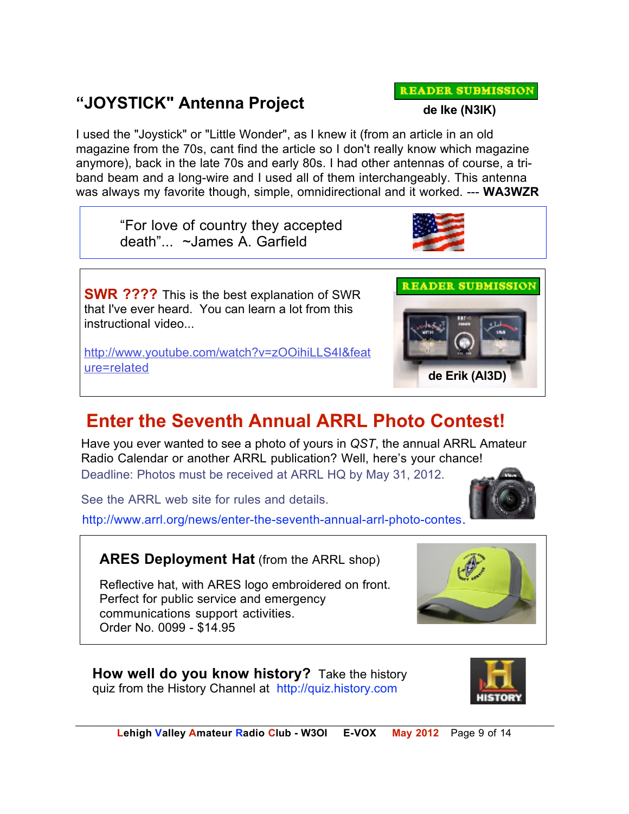#### *\_\_\_\_\_\_\_\_\_\_\_\_\_\_\_\_\_\_\_\_\_\_\_\_\_\_\_\_\_\_\_\_\_\_\_\_\_\_\_\_\_\_\_\_\_\_\_\_\_\_\_\_\_\_\_\_\_\_\_\_\_\_\_\_\_\_\_\_\_\_\_\_\_\_\_\_\_\_\_\_\_\_\_\_\_\_\_\_\_\_\_\_\_*  **Lehigh Valley Amateur Radio Club - W3OI E-VOX May 2012** Page 9 of 14

### **"JOYSTICK" Antenna Project**

I used the "Joystick" or "Little Wonder", as I knew it (from an article in an old magazine from the 70s, cant find the article so I don't really know which magazine anymore), back in the late 70s and early 80s. I had other antennas of course, a triband beam and a long-wire and I used all of them interchangeably. This antenna was always my favorite though, simple, omnidirectional and it worked. --- **WA3WZR** 

"For love of country they accepted death"... ~James A. Garfield

**SWR ????** This is the best explanation of SWR that I've ever heard. You can learn a lot from this instructional video...

http://www.youtube.com/watch?v=zOOihiLLS4I&feat ure=related **de Erik (AI3D)**

# **Enter the Seventh Annual ARRL Photo Contest!**

Have you ever wanted to see a photo of yours in *QST*, the annual ARRL Amateur Radio Calendar or another ARRL publication? Well, here's your chance! Deadline: Photos must be received at ARRL HQ by May 31, 2012.

See the ARRL web site for rules and details.

http://www.arrl.org/news/enter-the-seventh-annual-arrl-photo-contes.

**ARES Deployment Hat** (from the ARRL shop)

Reflective hat, with ARES logo embroidered on front. Perfect for public service and emergency communications support activities. Order No. 0099 - \$14.95

**How well do you know history?** Take the history quiz from the History Channel at http://quiz.history.com









**READER SUBMISSION**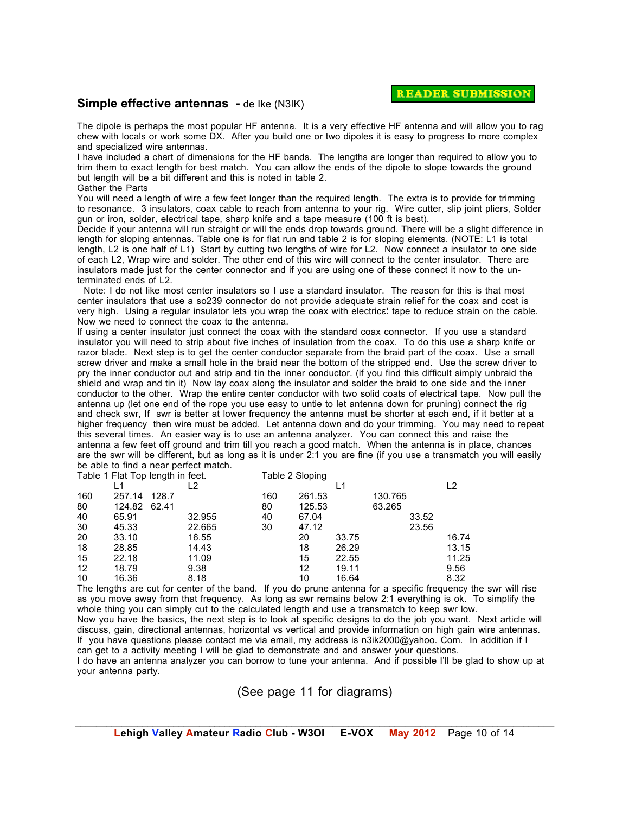#### **Simple effective antennas** - de Ike (N3IK)

The dipole is perhaps the most popular HF antenna. It is a very effective HF antenna and will allow you to rag chew with locals or work some DX. After you build one or two dipoles it is easy to progress to more complex and specialized wire antennas.

I have included a chart of dimensions for the HF bands. The lengths are longer than required to allow you to trim them to exact length for best match. You can allow the ends of the dipole to slope towards the ground but length will be a bit different and this is noted in table 2. Gather the Parts

You will need a length of wire a few feet longer than the required length. The extra is to provide for trimming to resonance. 3 insulators, coax cable to reach from antenna to your rig. Wire cutter, slip joint pliers, Solder gun or iron, solder, electrical tape, sharp knife and a tape measure (100 ft is best).

Decide if your antenna will run straight or will the ends drop towards ground. There will be a slight difference in length for sloping antennas. Table one is for flat run and table 2 is for sloping elements. (NOTE: L1 is total length, L2 is one half of L1) Start by cutting two lengths of wire for L2. Now connect a insulator to one side of each L2, Wrap wire and solder. The other end of this wire will connect to the center insulator. There are insulators made just for the center connector and if you are using one of these connect it now to the unterminated ends of L2.

 Note: I do not like most center insulators so I use a standard insulator. The reason for this is that most center insulators that use a so239 connector do not provide adequate strain relief for the coax and cost is very high. Using a regular insulator lets you wrap the coax with electrical tape to reduce strain on the cable. Now we need to connect the coax to the antenna.

If using a center insulator just connect the coax with the standard coax connector. If you use a standard insulator you will need to strip about five inches of insulation from the coax. To do this use a sharp knife or razor blade. Next step is to get the center conductor separate from the braid part of the coax. Use a small screw driver and make a small hole in the braid near the bottom of the stripped end. Use the screw driver to pry the inner conductor out and strip and tin the inner conductor. (if you find this difficult simply unbraid the shield and wrap and tin it) Now lay coax along the insulator and solder the braid to one side and the inner conductor to the other. Wrap the entire center conductor with two solid coats of electrical tape. Now pull the antenna up (let one end of the rope you use easy to untie to let antenna down for pruning) connect the rig and check swr, If swr is better at lower frequency the antenna must be shorter at each end, if it better at a higher frequency then wire must be added. Let antenna down and do your trimming. You may need to repeat this several times. An easier way is to use an antenna analyzer. You can connect this and raise the antenna a few feet off ground and trim till you reach a good match. When the antenna is in place, chances are the swr will be different, but as long as it is under 2:1 you are fine (if you use a transmatch you will easily be able to find a near perfect match.

| Table 1 Flat Top length in feet. |        |       |        |     | Table 2 Sloping |       |         |       |       |
|----------------------------------|--------|-------|--------|-----|-----------------|-------|---------|-------|-------|
|                                  |        |       | -2     |     |                 | L1    |         |       | L2    |
| 160                              | 257.14 | 128.7 |        | 160 | 261.53          |       | 130.765 |       |       |
| 80                               | 124.82 | 62.41 |        | 80  | 125.53          |       | 63.265  |       |       |
| 40                               | 65.91  |       | 32.955 | 40  | 67.04           |       |         | 33.52 |       |
| 30                               | 45.33  |       | 22.665 | 30  | 47.12           |       |         | 23.56 |       |
| 20                               | 33.10  |       | 16.55  |     | 20              | 33.75 |         |       | 16.74 |
| 18                               | 28.85  |       | 14.43  |     | 18              | 26.29 |         |       | 13.15 |
| 15                               | 22.18  |       | 11.09  |     | 15              | 22.55 |         |       | 11.25 |
| 12                               | 18.79  |       | 9.38   |     | 12              | 19.11 |         |       | 9.56  |
| 10                               | 16.36  |       | 8.18   |     | 10              | 16.64 |         |       | 8.32  |

The lengths are cut for center of the band. If you do prune antenna for a specific frequency the swr will rise as you move away from that frequency. As long as swr remains below 2:1 everything is ok. To simplify the whole thing you can simply cut to the calculated length and use a transmatch to keep swr low.

Now you have the basics, the next step is to look at specific designs to do the job you want. Next article will discuss, gain, directional antennas, horizontal vs vertical and provide information on high gain wire antennas. If you have questions please contact me via email, my address is n3ik2000@yahoo. Com. In addition if I can get to a activity meeting I will be glad to demonstrate and and answer your questions.

I do have an antenna analyzer you can borrow to tune your antenna. And if possible I'll be glad to show up at your antenna party.

(See page 11 for diagrams)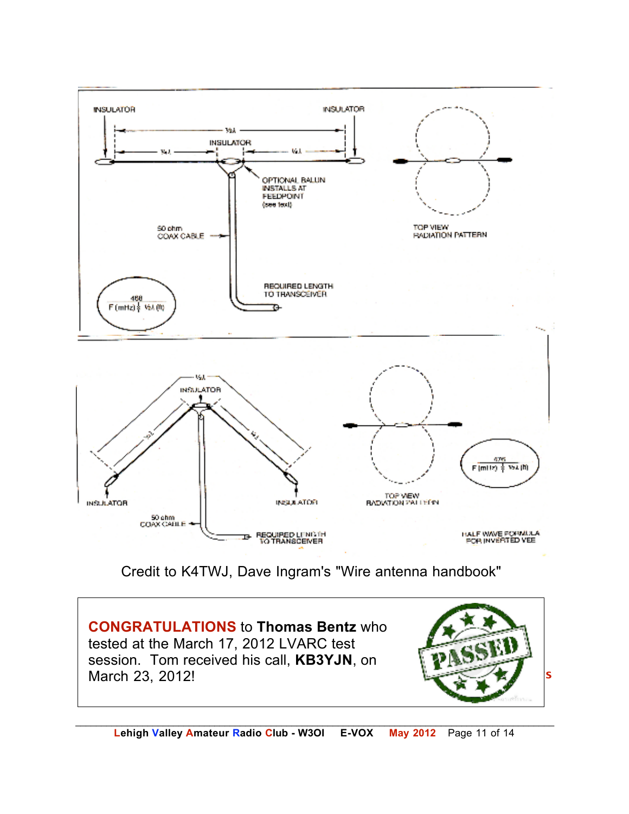

Credit to K4TWJ, Dave Ingram's "Wire antenna handbook"

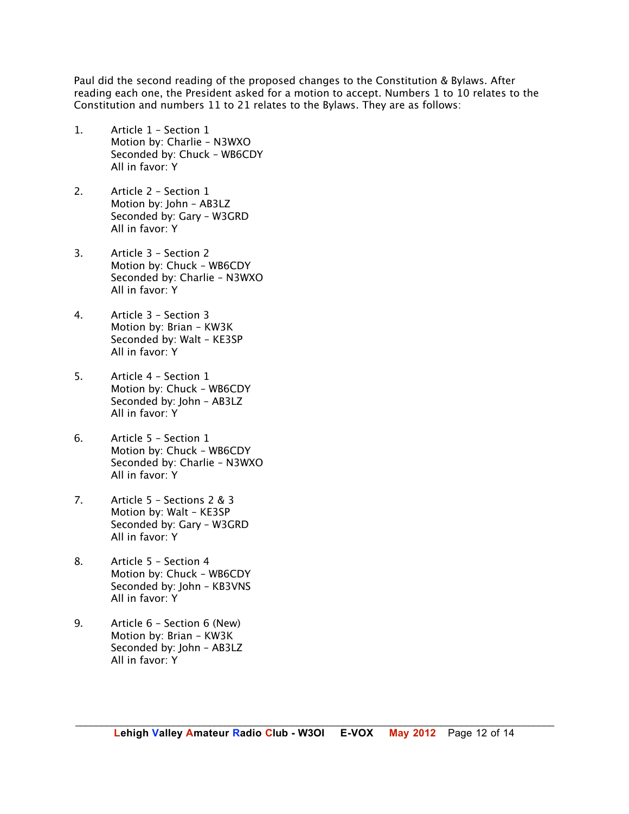Paul did the second reading of the proposed changes to the Constitution & Bylaws. After reading each one, the President asked for a motion to accept. Numbers 1 to 10 relates to the Constitution and numbers 11 to 21 relates to the Bylaws. They are as follows:

- 1. Article 1 Section 1 Motion by: Charlie – N3WXO Seconded by: Chuck – WB6CDY All in favor: Y
- 2. Article 2 Section 1 Motion by: John – AB3LZ Seconded by: Gary – W3GRD All in favor: Y
- 3. Article 3 Section 2 Motion by: Chuck – WB6CDY Seconded by: Charlie – N3WXO All in favor: Y
- 4. Article 3 Section 3 Motion by: Brian – KW3K Seconded by: Walt – KE3SP All in favor: Y
- 5. Article 4 Section 1 Motion by: Chuck – WB6CDY Seconded by: John – AB3LZ All in favor: Y
- 6. Article 5 Section 1 Motion by: Chuck – WB6CDY Seconded by: Charlie – N3WXO All in favor: Y
- 7. Article 5 Sections 2 & 3 Motion by: Walt – KE3SP Seconded by: Gary – W3GRD All in favor: Y
- 8. Article 5 Section 4 Motion by: Chuck – WB6CDY Seconded by: John – KB3VNS All in favor: Y
- 9. Article 6 Section 6 (New) Motion by: Brian – KW3K Seconded by: John – AB3LZ All in favor: Y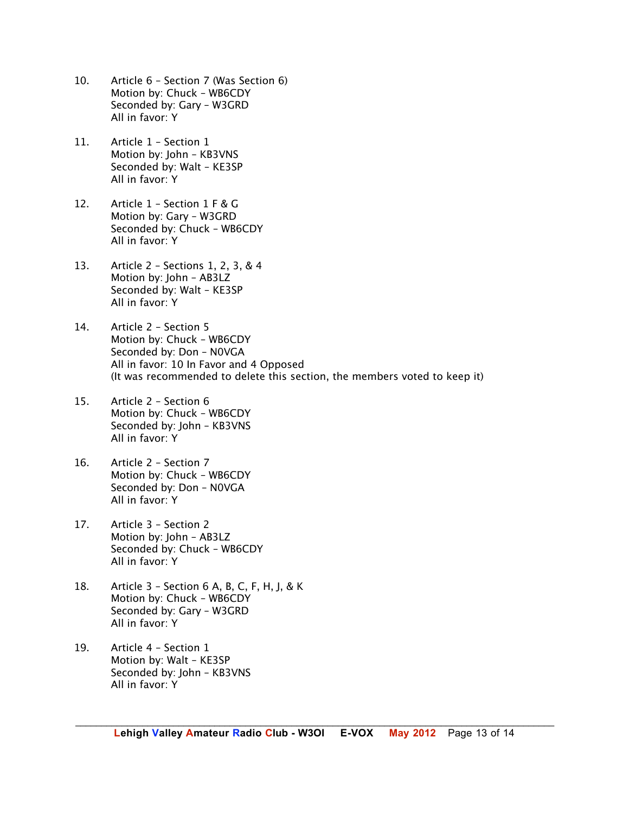- 10. Article 6 Section 7 (Was Section 6) Motion by: Chuck – WB6CDY Seconded by: Gary – W3GRD All in favor: Y
- 11. Article 1 Section 1 Motion by: John – KB3VNS Seconded by: Walt – KE3SP All in favor: Y
- 12. Article 1 Section 1 F & G Motion by: Gary – W3GRD Seconded by: Chuck – WB6CDY All in favor: Y
- 13. Article 2 Sections 1, 2, 3, & 4 Motion by: John – AB3LZ Seconded by: Walt – KE3SP All in favor: Y
- 14. Article 2 Section 5 Motion by: Chuck – WB6CDY Seconded by: Don – N0VGA All in favor: 10 In Favor and 4 Opposed (It was recommended to delete this section, the members voted to keep it)
- 15. Article 2 Section 6 Motion by: Chuck – WB6CDY Seconded by: John – KB3VNS All in favor: Y
- 16. Article 2 Section 7 Motion by: Chuck – WB6CDY Seconded by: Don – N0VGA All in favor: Y
- 17. Article 3 Section 2 Motion by: John – AB3LZ Seconded by: Chuck – WB6CDY All in favor: Y
- 18. Article 3 Section 6 A, B, C, F, H, J, & K Motion by: Chuck – WB6CDY Seconded by: Gary – W3GRD All in favor: Y
- 19. Article 4 Section 1 Motion by: Walt – KE3SP Seconded by: John – KB3VNS All in favor: Y